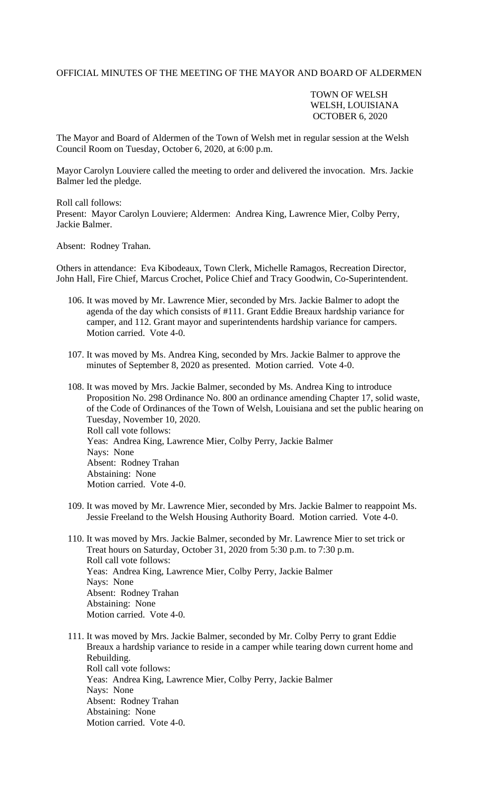## OFFICIAL MINUTES OF THE MEETING OF THE MAYOR AND BOARD OF ALDERMEN

## TOWN OF WELSH WELSH, LOUISIANA OCTOBER 6, 2020

The Mayor and Board of Aldermen of the Town of Welsh met in regular session at the Welsh Council Room on Tuesday, October 6, 2020, at 6:00 p.m.

Mayor Carolyn Louviere called the meeting to order and delivered the invocation. Mrs. Jackie Balmer led the pledge.

Roll call follows: Present: Mayor Carolyn Louviere; Aldermen: Andrea King, Lawrence Mier, Colby Perry, Jackie Balmer.

Absent: Rodney Trahan.

Others in attendance: Eva Kibodeaux, Town Clerk, Michelle Ramagos, Recreation Director, John Hall, Fire Chief, Marcus Crochet, Police Chief and Tracy Goodwin, Co-Superintendent.

- 106. It was moved by Mr. Lawrence Mier, seconded by Mrs. Jackie Balmer to adopt the agenda of the day which consists of #111. Grant Eddie Breaux hardship variance for camper, and 112. Grant mayor and superintendents hardship variance for campers. Motion carried. Vote 4-0.
- 107. It was moved by Ms. Andrea King, seconded by Mrs. Jackie Balmer to approve the minutes of September 8, 2020 as presented. Motion carried. Vote 4-0.
- 108. It was moved by Mrs. Jackie Balmer, seconded by Ms. Andrea King to introduce Proposition No. 298 Ordinance No. 800 an ordinance amending Chapter 17, solid waste, of the Code of Ordinances of the Town of Welsh, Louisiana and set the public hearing on Tuesday, November 10, 2020. Roll call vote follows: Yeas: Andrea King, Lawrence Mier, Colby Perry, Jackie Balmer Nays: None Absent: Rodney Trahan Abstaining: None Motion carried. Vote 4-0.
- 109. It was moved by Mr. Lawrence Mier, seconded by Mrs. Jackie Balmer to reappoint Ms. Jessie Freeland to the Welsh Housing Authority Board. Motion carried. Vote 4-0.
- 110. It was moved by Mrs. Jackie Balmer, seconded by Mr. Lawrence Mier to set trick or Treat hours on Saturday, October 31, 2020 from 5:30 p.m. to 7:30 p.m. Roll call vote follows: Yeas: Andrea King, Lawrence Mier, Colby Perry, Jackie Balmer Nays: None Absent: Rodney Trahan Abstaining: None Motion carried. Vote 4-0.
- 111. It was moved by Mrs. Jackie Balmer, seconded by Mr. Colby Perry to grant Eddie Breaux a hardship variance to reside in a camper while tearing down current home and Rebuilding. Roll call vote follows: Yeas: Andrea King, Lawrence Mier, Colby Perry, Jackie Balmer Nays: None Absent: Rodney Trahan Abstaining: None Motion carried. Vote 4-0.